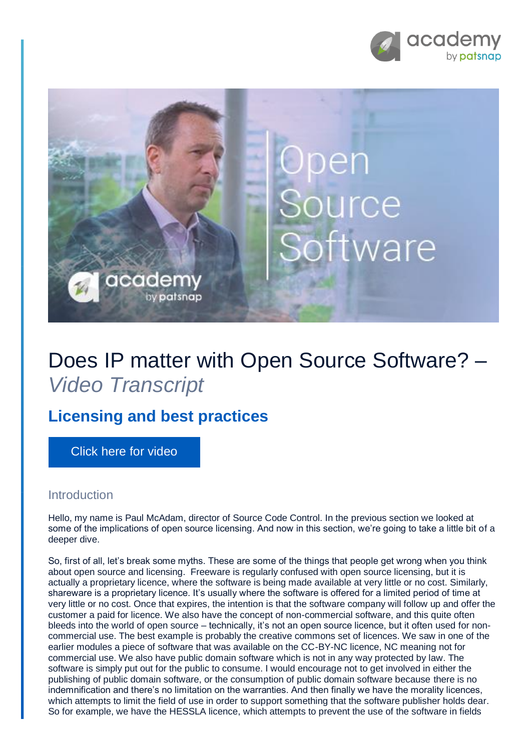



## Does IP matter with Open Source Software? – *Video Transcript*

## **Licensing and best practices**

[Click here for video](https://academy.patsnap.com/courses/5aa90c52a8103300142e12e2/units/5b06d287252c450014cc142e#module-3)

## Introduction

Hello, my name is Paul McAdam, director of Source Code Control. In the previous section we looked at some of the implications of open source licensing. And now in this section, we're going to take a little bit of a deeper dive.

So, first of all, let's break some myths. These are some of the things that people get wrong when you think about open source and licensing. Freeware is regularly confused with open source licensing, but it is actually a proprietary licence, where the software is being made available at very little or no cost. Similarly, shareware is a proprietary licence. It's usually where the software is offered for a limited period of time at very little or no cost. Once that expires, the intention is that the software company will follow up and offer the customer a paid for licence. We also have the concept of non-commercial software, and this quite often bleeds into the world of open source – technically, it's not an open source licence, but it often used for noncommercial use. The best example is probably the creative commons set of licences. We saw in one of the earlier modules a piece of software that was available on the CC-BY-NC licence, NC meaning not for commercial use. We also have public domain software which is not in any way protected by law. The software is simply put out for the public to consume. I would encourage not to get involved in either the publishing of public domain software, or the consumption of public domain software because there is no indemnification and there's no limitation on the warranties. And then finally we have the morality licences, which attempts to limit the field of use in order to support something that the software publisher holds dear. So for example, we have the HESSLA licence, which attempts to prevent the use of the software in fields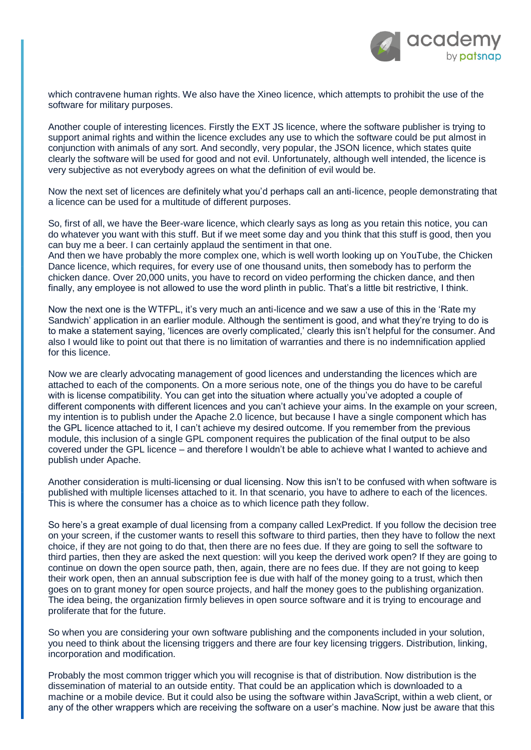

which contravene human rights. We also have the Xineo licence, which attempts to prohibit the use of the software for military purposes.

Another couple of interesting licences. Firstly the EXT JS licence, where the software publisher is trying to support animal rights and within the licence excludes any use to which the software could be put almost in conjunction with animals of any sort. And secondly, very popular, the JSON licence, which states quite clearly the software will be used for good and not evil. Unfortunately, although well intended, the licence is very subjective as not everybody agrees on what the definition of evil would be.

Now the next set of licences are definitely what you'd perhaps call an anti-licence, people demonstrating that a licence can be used for a multitude of different purposes.

So, first of all, we have the Beer-ware licence, which clearly says as long as you retain this notice, you can do whatever you want with this stuff. But if we meet some day and you think that this stuff is good, then you can buy me a beer. I can certainly applaud the sentiment in that one.

And then we have probably the more complex one, which is well worth looking up on YouTube, the Chicken Dance licence, which requires, for every use of one thousand units, then somebody has to perform the chicken dance. Over 20,000 units, you have to record on video performing the chicken dance, and then finally, any employee is not allowed to use the word plinth in public. That's a little bit restrictive, I think.

Now the next one is the WTFPL, it's very much an anti-licence and we saw a use of this in the 'Rate my Sandwich' application in an earlier module. Although the sentiment is good, and what they're trying to do is to make a statement saying, 'licences are overly complicated,' clearly this isn't helpful for the consumer. And also I would like to point out that there is no limitation of warranties and there is no indemnification applied for this licence.

Now we are clearly advocating management of good licences and understanding the licences which are attached to each of the components. On a more serious note, one of the things you do have to be careful with is license compatibility. You can get into the situation where actually you've adopted a couple of different components with different licences and you can't achieve your aims. In the example on your screen, my intention is to publish under the Apache 2.0 licence, but because I have a single component which has the GPL licence attached to it, I can't achieve my desired outcome. If you remember from the previous module, this inclusion of a single GPL component requires the publication of the final output to be also covered under the GPL licence – and therefore I wouldn't be able to achieve what I wanted to achieve and publish under Apache.

Another consideration is multi-licensing or dual licensing. Now this isn't to be confused with when software is published with multiple licenses attached to it. In that scenario, you have to adhere to each of the licences. This is where the consumer has a choice as to which licence path they follow.

So here's a great example of dual licensing from a company called LexPredict. If you follow the decision tree on your screen, if the customer wants to resell this software to third parties, then they have to follow the next choice, if they are not going to do that, then there are no fees due. If they are going to sell the software to third parties, then they are asked the next question: will you keep the derived work open? If they are going to continue on down the open source path, then, again, there are no fees due. If they are not going to keep their work open, then an annual subscription fee is due with half of the money going to a trust, which then goes on to grant money for open source projects, and half the money goes to the publishing organization. The idea being, the organization firmly believes in open source software and it is trying to encourage and proliferate that for the future.

So when you are considering your own software publishing and the components included in your solution, you need to think about the licensing triggers and there are four key licensing triggers. Distribution, linking, incorporation and modification.

Probably the most common trigger which you will recognise is that of distribution. Now distribution is the dissemination of material to an outside entity. That could be an application which is downloaded to a machine or a mobile device. But it could also be using the software within JavaScript, within a web client, or any of the other wrappers which are receiving the software on a user's machine. Now just be aware that this